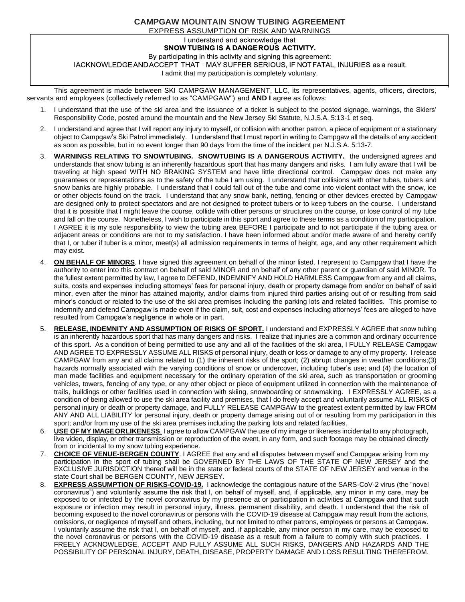## **CAMPGAW MOUNTAIN SNOW TUBING AGREEMENT** EXPRESS ASSUMPTION OF RISK AND WARNINGS

I understand and acknowledge that

## SNOW TUBING IS A DANGE ROUS ACTIVITY.

By participating in this activity and signing this agreement:

IACKNOWLEDGE AND ACCEPT THAT I MAY SUFFER SERIOUS, IF NOT FATAL, INJURIES as a result.

I admit that my participation is completely voluntary.

This agreement is made between SKI CAMPGAW MANAGEMENT, LLC, its representatives, agents, officers, directors, servants and employees (collectively referred to as "CAMPGAW") and **AND I** agree as follows:

- 1. I understand that the use of the ski area and the issuance of a ticket is subject to the posted signage, warnings, the Skiers' Responsibility Code, posted around the mountain and the New Jersey Ski Statute, N.J.S.A. 5:13-1 et seq.
- 2. I understand and agree that I will report any injury to myself, or collision with another patron, a piece of equipment or a stationary object to Campgaw's Ski Patrol immediately. I understand that I must report in writing to Campgaw all the details of any accident as soon as possible, but in no event longer than 90 days from the time of the incident per N.J.S.A. 5:13-7.
- 3. **WARNINGS RELATING TO SNOWTUBING. SNOWTUBING IS A DANGEROUS ACTIVITY.** the undersigned agrees and understands that snow tubing is an inherently hazardous sport that has many dangers and risks. I am fully aware that I will be traveling at high speed WITH NO BRAKING SYSTEM and have little directional control. Campgaw does not make any guarantees or representations as to the safety of the tube I am using. I understand that collisions with other tubes, tubers and snow banks are highly probable. I understand that I could fall out of the tube and come into violent contact with the snow, ice or other objects found on the track. I understand that any snow bank, netting, fencing or other devices erected by Campgaw are designed only to protect spectators and are not designed to protect tubers or to keep tubers on the course. I understand that it is possible that I might leave the course, collide with other persons or structures on the course, or lose control of my tube and fall on the course. Nonetheless, I wish to participate in this sport and agree to these terms as a condition of my participation. I AGREE it is my sole responsibility to view the tubing area BEFORE I participate and to not participate if the tubing area or adjacent areas or conditions are not to my satisfaction. I have been informed about and/or made aware of and hereby certify that I, or tuber if tuber is a minor, meet(s) all admission requirements in terms of height, age, and any other requirement which may exist.
- 4. **ON BEHALF OF MINORS**. I have signed this agreement on behalf of the minor listed. I represent to Campgaw that I have the authority to enter into this contract on behalf of said MINOR and on behalf of any other parent or guardian of said MINOR. To the fullest extent permitted by law, I agree to DEFEND, INDEMNIFY AND HOLD HARMLESS Campgaw from any and all claims, suits, costs and expenses including attorneys' fees for personal injury, death or property damage from and/or on behalf of said minor, even after the minor has attained majority, and/or claims from injured third parties arising out of or resulting from said minor's conduct or related to the use of the ski area premises including the parking lots and related facilities. This promise to indemnify and defend Campgaw is made even if the claim, suit, cost and expenses including attorneys' fees are alleged to have resulted from Campgaw's negligence in whole or in part.
- 5. **RELEASE, INDEMNITY AND ASSUMPTION OF RISKS OF SPORT.** I understand and EXPRESSLY AGREE that snow tubing is an inherently hazardous sport that has many dangers and risks. I realize that injuries are a common and ordinary occurrence of this sport. As a condition of being permitted to use any and all of the facilities of the ski area, I FULLY RELEASE Campgaw AND AGREE TO EXPRESSLY ASSUME ALL RISKS of personal injury, death or loss or damage to any of my property. I release CAMPGAW from any and all claims related to (1) the inherent risks of the sport; (2) abrupt changes in weather conditions;(3) hazards normally associated with the varying conditions of snow or undercover, including tuber's use; and (4) the location of man made facilities and equipment necessary for the ordinary operation of the ski area, such as transportation or grooming vehicles, towers, fencing of any type, or any other object or piece of equipment utilized in connection with the maintenance of trails, buildings or other facilities used in connection with skiing, snowboarding or snowmaking. I EXPRESSLY AGREE, as a condition of being allowed to use the ski area facility and premises, that I do freely accept and voluntarily assume ALL RISKS of personal injury or death or property damage, and FULLY RELEASE CAMPGAW to the greatest extent permitted by law FROM ANY AND ALL LIABILITY for personal injury, death or property damage arising out of or resulting from my participation in this sport; and/or from my use of the ski area premises including the parking lots and related facilities.
- 6. **USE OF MY IMAGE ORLIKENESS**. I agree to allow CAMPGAW the use of my image or likeness incidental to any photograph, live video, display, or other transmission or reproduction of the event, in any form, and such footage may be obtained directly from or incidental to my snow tubing experience.
- 7. **CHOICE OF VENUE-BERGEN COUNTY**. I AGREE that any and all disputes between myself and Campgaw arising from my participation in the sport of tubing shall be GOVERNED BY THE LAWS OF THE STATE OF NEW JERSEY and the EXCLUSIVE JURISDICTION thereof will be in the state or federal courts of the STATE OF NEW JERSEY and venue in the state Court shall be BERGEN COUNTY, NEW JERSEY.
- 8. **EXPRESS ASSUMPTION OF RISKS-COVID-19.** I acknowledge the contagious nature of the SARS-CoV-2 virus (the "novel coronavirus") and voluntarily assume the risk that I, on behalf of myself, and, if applicable, any minor in my care, may be exposed to or infected by the novel coronavirus by my presence at or participation in activities at Campgaw and that such exposure or infection may result in personal injury, illness, permanent disability, and death. I understand that the risk of becoming exposed to the novel coronavirus or persons with the COVID-19 disease at Campgaw may result from the actions, omissions, or negligence of myself and others, including, but not limited to other patrons, employees or persons at Campgaw. I voluntarily assume the risk that I, on behalf of myself, and, if applicable, any minor person in my care, may be exposed to the novel coronavirus or persons with the COVID-19 disease as a result from a failure to comply with such practices. I FREELY ACKNOWLEDGE, ACCEPT AND FULLY ASSUME ALL SUCH RISKS, DANGERS AND HAZARDS AND THE POSSIBILITY OF PERSONAL INJURY, DEATH, DISEASE, PROPERTY DAMAGE AND LOSS RESULTING THEREFROM.